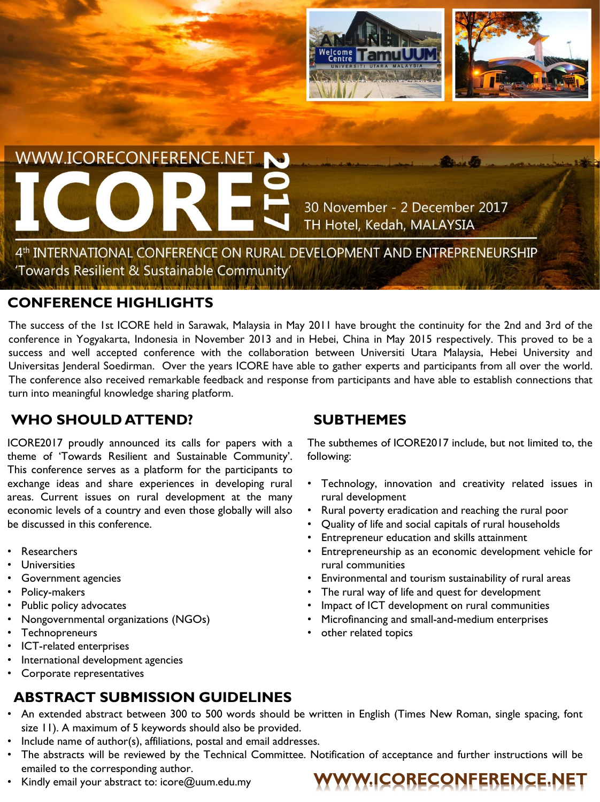

# WWW.ICORECONFERENCE.NET

30 November - 2 December 2017 TH Hotel, Kedah, MALAYSIA

4th INTERNATIONAL CONFERENCE ON RURAL DEVELOPMENT AND ENTREPRENEURSHIP 'Towards Resilient & Sustainable Community'

### **CONFERENCE HIGHLIGHTS**

The success of the 1st ICORE held in Sarawak, Malaysia in May 2011 have brought the continuity for the 2nd and 3rd of the conference in Yogyakarta, Indonesia in November 2013 and in Hebei, China in May 2015 respectively. This proved to be a success and well accepted conference with the collaboration between Universiti Utara Malaysia, Hebei University and Universitas Jenderal Soedirman. Over the years ICORE have able to gather experts and participants from all over the world. The conference also received remarkable feedback and response from participants and have able to establish connections that turn into meaningful knowledge sharing platform.

# **WHO SHOULD ATTEND?**

ICORE2017 proudly announced its calls for papers with a theme of 'Towards Resilient and Sustainable Community'. This conference serves as a platform for the participants to exchange ideas and share experiences in developing rural areas. Current issues on rural development at the many economic levels of a country and even those globally will also be discussed in this conference.

- **Researchers**
- **Universities**
- Government agencies
- Policy-makers
- Public policy advocates
- Nongovernmental organizations (NGOs)
- **Technopreneurs**
- ICT-related enterprises
- International development agencies
- Corporate representatives

# **ABSTRACT SUBMISSION GUIDELINES**

# **SUBTHEMES**

The subthemes of ICORE2017 include, but not limited to, the following:

- Technology, innovation and creativity related issues in rural development
- Rural poverty eradication and reaching the rural poor
- Quality of life and social capitals of rural households
- Entrepreneur education and skills attainment
- Entrepreneurship as an economic development vehicle for rural communities
- Environmental and tourism sustainability of rural areas
- The rural way of life and quest for development
- Impact of ICT development on rural communities
- Microfinancing and small-and-medium enterprises
- other related topics
- An extended abstract between 300 to 500 words should be written in English (Times New Roman, single spacing, font size 11). A maximum of 5 keywords should also be provided.
- Include name of author(s), affiliations, postal and email addresses.
- The abstracts will be reviewed by the Technical Committee. Notification of acceptance and further instructions will be emailed to the corresponding author.
- Kindly email your abstract to: icore@uum.edu.my **WWW.ICORECONFERENCE.NET**